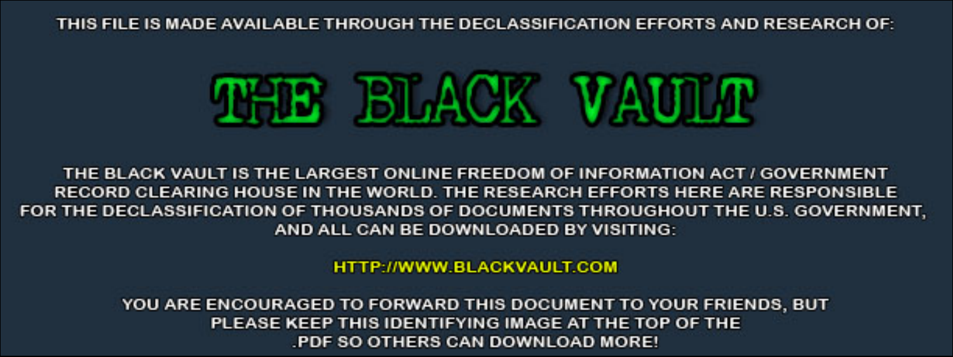THIS FILE IS MADE AVAILABLE THROUGH THE DECLASSIFICATION EFFORTS AND RESEARCH OF:



THE BLACK VAULT IS THE LARGEST ONLINE FREEDOM OF INFORMATION ACT / GOVERNMENT RECORD CLEARING HOUSE IN THE WORLD. THE RESEARCH EFFORTS HERE ARE RESPONSIBLE FOR THE DECLASSIFICATION OF THOUSANDS OF DOCUMENTS THROUGHOUT THE U.S. GOVERNMENT, AND ALL CAN BE DOWNLOADED BY VISITING:

**HTTP://WWW.BLACKVAULT.COM** 

YOU ARE ENCOURAGED TO FORWARD THIS DOCUMENT TO YOUR FRIENDS, BUT PLEASE KEEP THIS IDENTIFYING IMAGE AT THE TOP OF THE PDF SO OTHERS CAN DOWNLOAD MORE!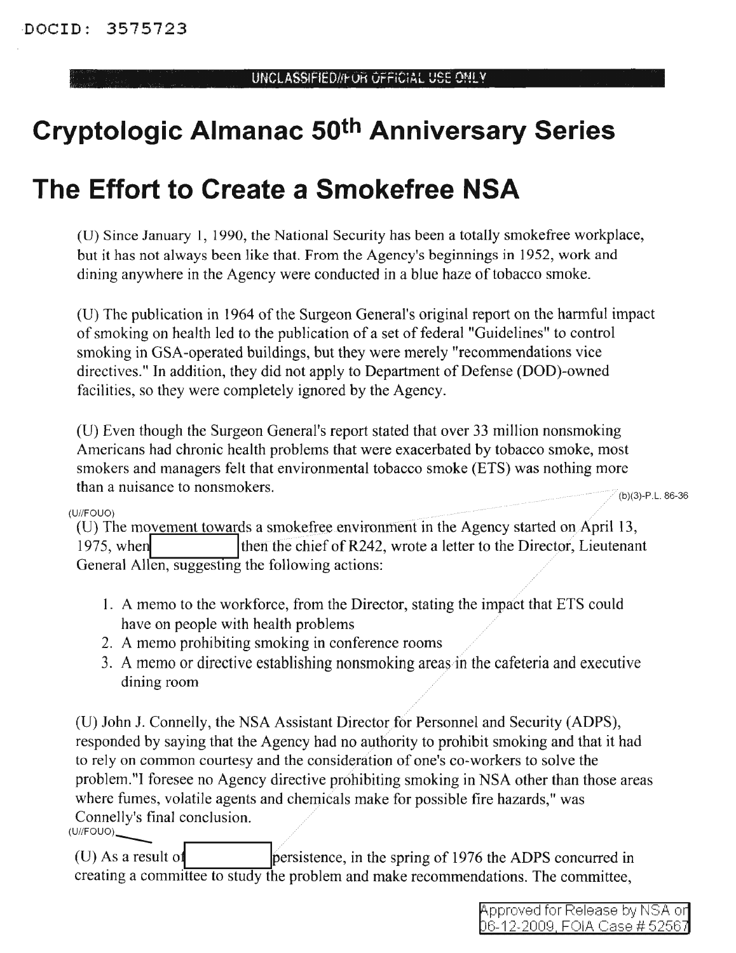# **Cryptologic Almanac 50th Anniversary Series**

# **The Effort to Create a Smokefree NSA**

(D) Since January 1, 1990, the National Security has been a totally smokefree workplace, but it has not always been like that. From the Agency's beginnings in 1952, work and dining anywhere in the Agency were conducted in a blue haze of tobacco smoke.

(D) The publication in 1964 ofthe Surgeon General's original report on the harmful impact of smoking on health led to the publication of a set of federal "Guidelines" to control smoking in GSA-operated buildings, but they were merely "recommendations vice directives." **In** addition, they did not apply to Department of Defense (DOD)-owned facilities, so they were completely ignored by the Agency.

(U) Even though the Surgeon General's report stated that over 33 million nonsmoking Americans had chronic health problems that were exacerbated by tobacco smoke, most smokers and managers felt that environmental tobacco smoke (ETS) was nothing more than a nuisance to nonsmokers.

 $(b)(3)-P.L. 86-36$ 

#### (U//FOUO)

(U) The movement towards a smokefree environment in the Agency started on April 13, 1975, when  $\vert$  then the chief of R242, wrote a letter to the Director, Lieutenant General Allen, suggesting the following actions:

- 1. A memo to the workforce, from the Director, stating the impact that ETS could have on people with health problems
- 2. A memo prohibiting smoking in conference rooms
- 3. A memo or directive establishing nonsmoking areas in the cafeteria and executive dining room

(U) John J. Connelly, the NSA Assistant Director for Personnel and Security (ADPS), responded by saying that the Agency had no authority to prohibit smoking and that it had to rely on common courtesy and the consideration of one's co-workers to solve the problem."I foresee no Agency directive prohibiting smoking in NSA other than those areas where fumes, volatile agents and chemicals make for possible fire hazards," was Connelly's final conclusion.  $(U//FOUO)$ 

 $(U)$  As a result of **IPEREFISTED** persistence, in the spring of 1976 the ADPS concurred in creating a committee to study the problem and make recommendations. The committee,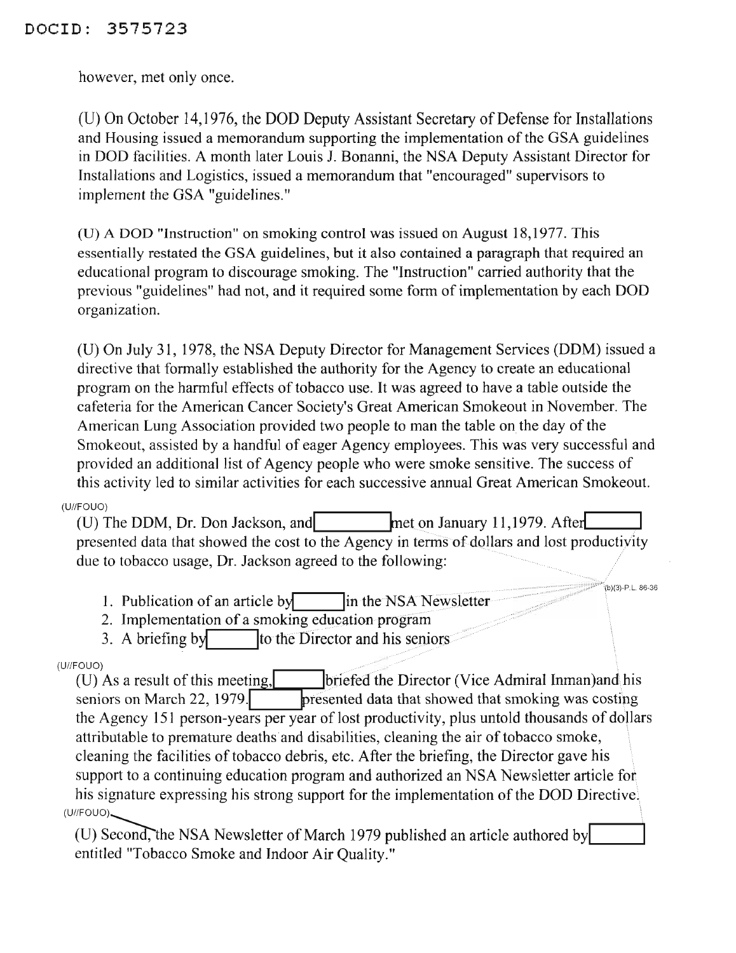however, met only once.

(U) On October 14,1976, the DOD Deputy Assistant Secretary of Defense for Installations and Housing issued a memorandum supporting the implementation of the GSA guidelines in DOD facilities. A month later Louis J. Bonanni, the NSA Deputy Assistant Director for Installations and Logistics, issued a memorandum that "encouraged" supervisors to implement the GSA "guidelines."

(U) A DOD "Instruction" on smoking control was issued on August 18,1977. This essentially restated the GSA guidelines, but it also contained a paragraph that required an educational program to discourage smoking. The "Instruction" carried authority that the previous "guidelines" had not, and it required some form of implementation by each DOD organization.

(U) On July 31, 1978, the NSA Deputy Director for Management Services (DDM) issued a directive that formally established the authority for the Agency to create an educational program on the harmful effects of tobacco use. It was agreed to have a table outside the cafeteria for the American Cancer Society's Great American Smokeout in November. The American Lung Association provided two people to man the table on the day of the Smokeout, assisted by a handful of eager Agency employees. This was very successful and provided an additional list of Agency people who were smoke sensitive. The success of this activity led to similar activities for each successive annual Great American Smokeout.

#### $(U//FOUO)$

(U) The DDM, Dr. Don Jackson, and met on January 11,1979. After presented data that showed the cost to the Agency in terms of dollars and lost productivity due to tobacco usage, Dr. Jackson agreed to the following:

(b)(3)-P.L. 86-36

1. Publication of an article by in the NSA Newsletter

2. Implementation of a smoking education program

to the Director and his seniors 3. A briefing by

### $(U//FOUO)$

(U) As a result of this meeting, briefed the Director (Vice Admiral Inman) and his seniors on March 22, 1979. presented data that showed that smoking was costing the Agency 151 person-years per year of lost productivity, plus untold thousands of dollars attributable to premature deaths and disabilities, cleaning the air of tobacco smoke, cleaning the facilities of tobacco debris, etc. After the briefing, the Director gave his support to a continuing education program and authorized an NSA Newsletter article for his signature expressing his strong support for the implementation of the DOD Directive.  $(U//FOUO)$ 

(U) Second, the NSA Newsletter of March 1979 published an article authored by entitled "Tobacco Smoke and Indoor Air Quality."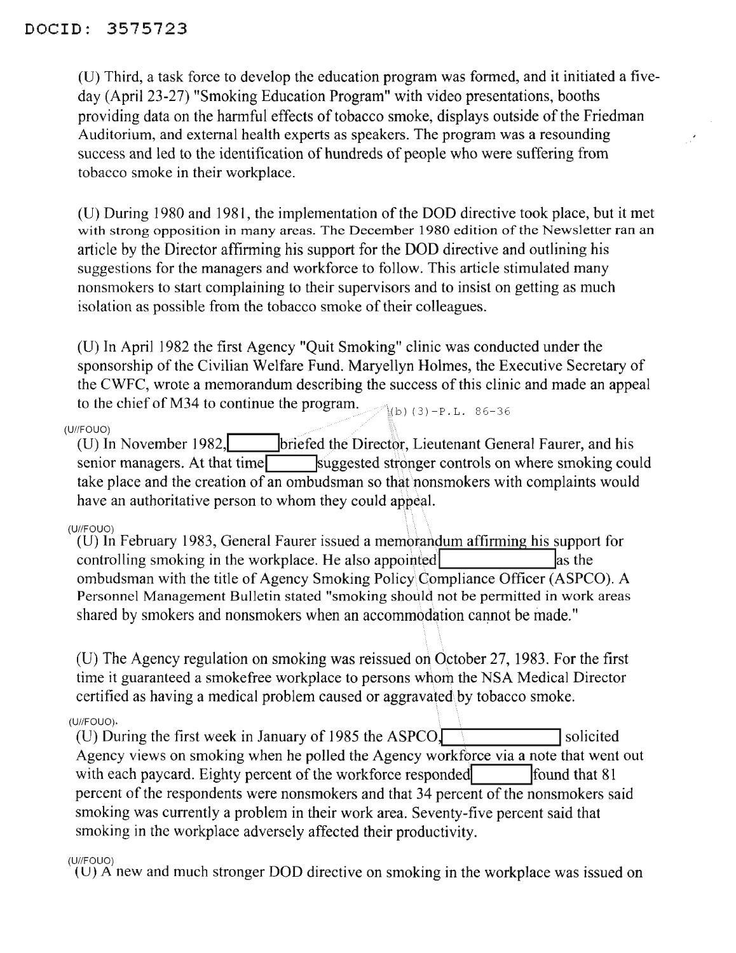(0) Third, a task force to develop the education program was formed, and it initiated a fiveday (April 23-27) "Smoking Education Program" with video presentations, booths providing data on the harmful effects of tobacco smoke, displays outside of the Friedman Auditorium, and external health experts as speakers. The program was a resounding success and led to the identification of hundreds of people who were suffering from tobacco smoke in their workplace.

(U) During 1980 and 1981, the implementation of the DOD directive took place, but it met with strong opposition in many areas. The December 1980 edition of the Newsletter ran an article by the Director affirming his support for the DOD directive and outlining his suggestions for the managers and workforce to follow. This article stimulated many nonsmokers to start complaining to their supervisors and to insist on getting as much isolation as possible from the tobacco smoke of their colleagues.

 $\langle b \rangle$ (3)-P.L. 86-36 (0) In April 1982 the first Agency "Quit Smoking" clinic was conducted under the sponsorship of the Civilian Welfare Fund. Maryellyn Holmes, the Executive Secretary of the CWFC, wrote a memorandum describing the success of this clinic and made an appeal to the chief of M34 to continue the program.

#### (U//FOUO)

(U) In November 1982, **Ibriefed the Director, Lieutenant General Faurer, and his** senior managers. At that time suggested stronger controls on where smoking could take place and the creation of an ombudsman so that nonsmokers with complaints would have an authoritative person to whom they could appeal.

#### (UIIFOUO)

(0) In February 1983, General Faurer issued a memorandum affirming his support for controlling smoking in the workplace. He also appointed  $\vert$  as the ombudsman with the title of Agency Smoking Policy\Compliance Officer (ASPCO). A Personnel Management Bulletin stated "smoking should not be permitted in work areas shared by smokers and nonsmokers when an accommodation cannot be made."

(D) The Agency regulation on smoking was reissued on October 27, 1983. For the first time it guaranteed a smokefree workplace to persons whom the NSA Medical Director certified as having a medical problem caused or aggravated\by tobacco smoke.

#### (U//FOUO).

(D) During the first week in January of <sup>1985</sup> the ASPCOJ **I**solicited Agency views on smoking when he polled the Agency workforce via a note that went out with each paycard. Eighty percent of the workforce responded **If**ound that 81 percent of the respondents were nonsmokers and that 34 percent of the nonsmokers said smoking was currently a problem in their work area. Seventy-five percent said that smoking in the workplace adversely affected their productivity.

#### (U//FOUO)

 $(U)$  A new and much stronger DOD directive on smoking in the workplace was issued on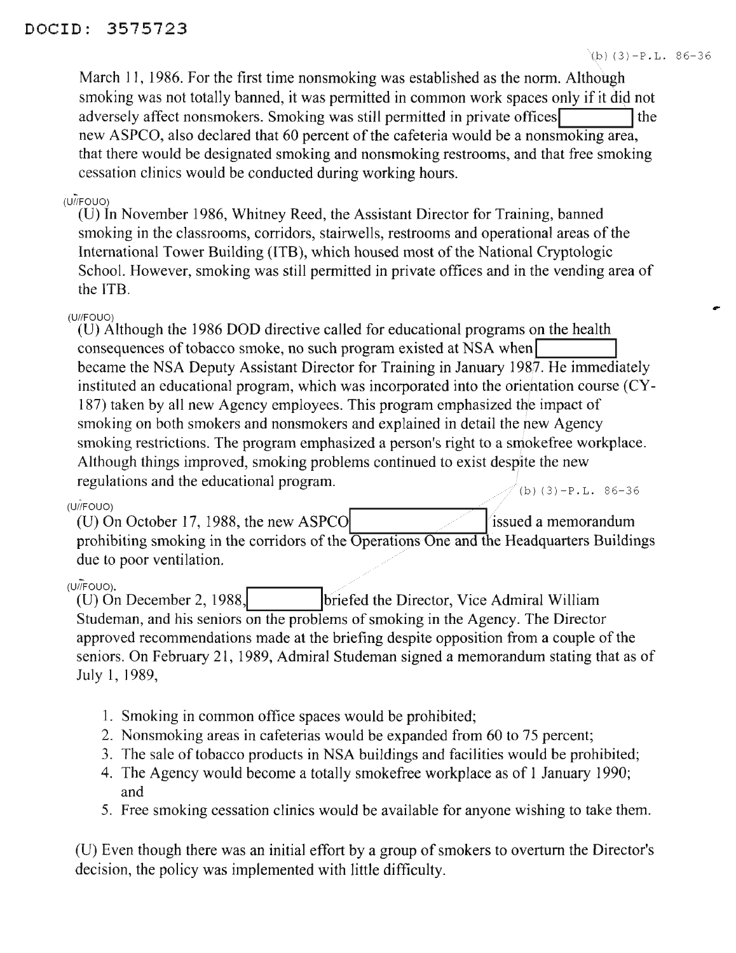...

March 11, 1986. For the first time nonsmoking was established as the norm. Although smoking was not totally banned, it was permitted in common work spaces only if it did not adversely affect nonsmokers. Smoking was still permitted in private offices new ASPCO, also declared that 60 percent of the cafeteria would be a nonsmoking area, that there would be designated smoking and nonsmoking restrooms, and that free smoking cessation clinics would be conducted during working hours.

#### $(U/H$ FOUO)

(U) In November 1986, Whitney Reed, the Assistant Director for Training, banned smoking in the classrooms, corridors, stairwells, restrooms and operational areas of the International Tower Building (ITB), which housed most of the National Cryptologic School. However, smoking was still permitted in private offices and in the vending area of the ITB.

#### (UIIFOUO)

 $(b) (3)-P.L. 86-36$ (U) Although the 1986 DOD directive called for educational programs on the health consequences of tobacco smoke, no such program existed at NSA when became the NSA Deputy Assistant Director for Training in January 1987. He immediately instituted an educational program, which was incorporated into the orientation course (CY-187) taken by all new Agency employees. This program emphasized the impact of smoking on both smokers and nonsmokers and explained in detail the new Agency smoking restrictions. The program emphasized a person's right to a smokefree workplace. Although things improved, smoking problems continued to exist despite the new regulations and the educational program.

### (U/FOUO)

(U) On October 17, 1988, the new ASPCO issued a memorandum prohibiting smoking in the corridors of the Operations One and the Headquarters Buildings due to poor ventilation.

(U/F<sub>OUO</sub>).<br> **(U)** On December 2, 1988, briefed the Director, Vice Admiral William Studeman, and his seniors on the problems of smoking in the Agency. The Director approved recommendations made at the briefing despite opposition from a couple of the seniors. On February 21,1989, Admiral Studeman signed a memorandum stating that as of July 1, 1989,

- 1. Smoking in common office spaces would be prohibited;
- 2. Nonsmoking areas in cafeterias would be expanded from 60 to 75 percent;
- 3. The sale of tobacco products in NSA buildings and facilities would be prohibited;
- 4. The Agency would become a totally smokefree workplace as of 1 January 1990; and
- 5. Free smoking cessation clinics would be available for anyone wishing to take them.

(U) Even though there was an initial effort by a group of smokers to overturn the Director's decision, the policy was implemented with little difficulty.